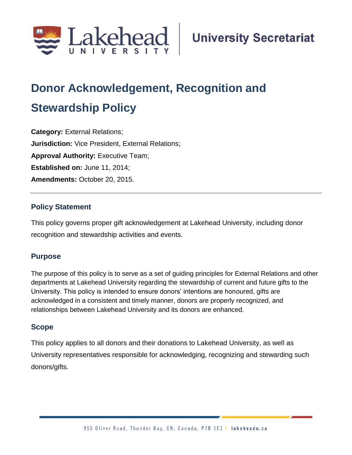

# **Donor Acknowledgement, Recognition and Stewardship Policy**

**Category:** External Relations; **Jurisdiction:** Vice President, External Relations; **Approval Authority: Executive Team; Established on:** June 11, 2014; **Amendments:** October 20, 2015.

## **Policy Statement**

This policy governs proper gift acknowledgement at Lakehead University, including donor recognition and stewardship activities and events.

## **Purpose**

The purpose of this policy is to serve as a set of guiding principles for External Relations and other departments at Lakehead University regarding the stewardship of current and future gifts to the University. This policy is intended to ensure donors' intentions are honoured, gifts are acknowledged in a consistent and timely manner, donors are properly recognized, and relationships between Lakehead University and its donors are enhanced.

## **Scope**

This policy applies to all donors and their donations to Lakehead University, as well as University representatives responsible for acknowledging, recognizing and stewarding such donors/gifts.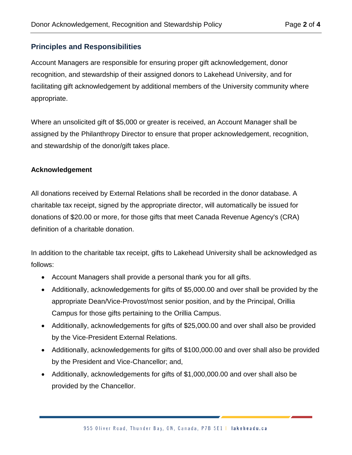## **Principles and Responsibilities**

Account Managers are responsible for ensuring proper gift acknowledgement, donor recognition, and stewardship of their assigned donors to Lakehead University, and for facilitating gift acknowledgement by additional members of the University community where appropriate.

Where an unsolicited gift of \$5,000 or greater is received, an Account Manager shall be assigned by the Philanthropy Director to ensure that proper acknowledgement, recognition, and stewardship of the donor/gift takes place.

## **Acknowledgement**

All donations received by External Relations shall be recorded in the donor database. A charitable tax receipt, signed by the appropriate director, will automatically be issued for donations of \$20.00 or more, for those gifts that meet Canada Revenue Agency's (CRA) definition of a charitable donation.

In addition to the charitable tax receipt, gifts to Lakehead University shall be acknowledged as follows:

- Account Managers shall provide a personal thank you for all gifts.
- Additionally, acknowledgements for gifts of \$5,000.00 and over shall be provided by the appropriate Dean/Vice-Provost/most senior position, and by the Principal, Orillia Campus for those gifts pertaining to the Orillia Campus.
- Additionally, acknowledgements for gifts of \$25,000.00 and over shall also be provided by the Vice-President External Relations.
- Additionally, acknowledgements for gifts of \$100,000.00 and over shall also be provided by the President and Vice-Chancellor; and,
- Additionally, acknowledgements for gifts of \$1,000,000.00 and over shall also be provided by the Chancellor.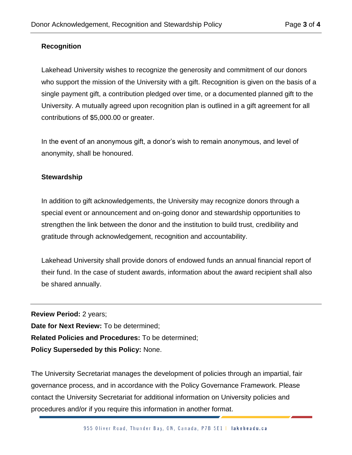## **Recognition**

Lakehead University wishes to recognize the generosity and commitment of our donors who support the mission of the University with a gift. Recognition is given on the basis of a single payment gift, a contribution pledged over time, or a documented planned gift to the University. A mutually agreed upon recognition plan is outlined in a gift agreement for all contributions of \$5,000.00 or greater.

In the event of an anonymous gift, a donor's wish to remain anonymous, and level of anonymity, shall be honoured.

#### **Stewardship**

In addition to gift acknowledgements, the University may recognize donors through a special event or announcement and on-going donor and stewardship opportunities to strengthen the link between the donor and the institution to build trust, credibility and gratitude through acknowledgement, recognition and accountability.

Lakehead University shall provide donors of endowed funds an annual financial report of their fund. In the case of student awards, information about the award recipient shall also be shared annually.

**Review Period:** 2 years; **Date for Next Review:** To be determined; **Related Policies and Procedures:** To be determined; **Policy Superseded by this Policy:** None.

The University Secretariat manages the development of policies through an impartial, fair governance process, and in accordance with the Policy Governance Framework. Please contact the University Secretariat for additional information on University policies and procedures and/or if you require this information in another format.